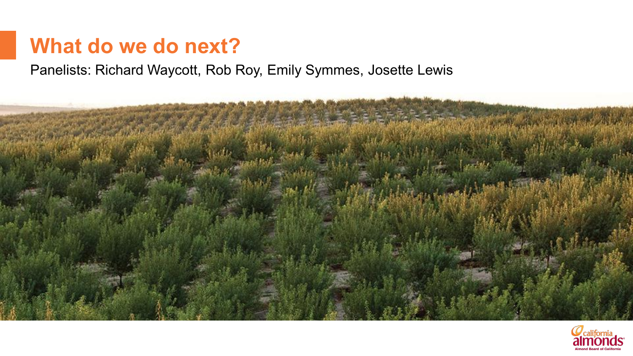# **What do we do next?**

Panelists: Richard Waycott, Rob Roy, Emily Symmes, Josette Lewis



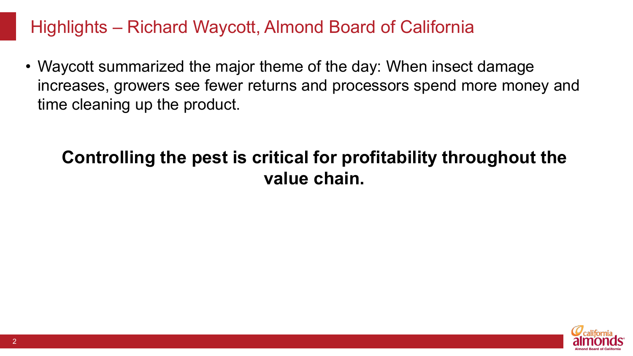#### Highlights – Richard Waycott, Almond Board of California

• Waycott summarized the major theme of the day: When insect damage increases, growers see fewer returns and processors spend more money and time cleaning up the product.

# **Controlling the pest is critical for profitability throughout the value chain.**

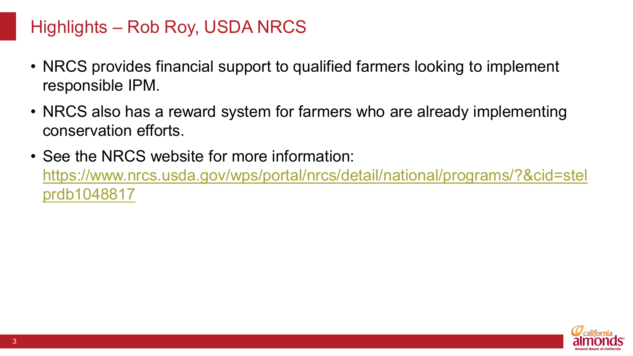## Highlights – Rob Roy, USDA NRCS

- NRCS provides financial support to qualified farmers looking to implement responsible IPM.
- NRCS also has a reward system for farmers who are already implementing conservation efforts.
- See the NRCS website for more information: [https://www.nrcs.usda.gov/wps/portal/nrcs/detail/national/programs/?&cid=stel](https://www.nrcs.usda.gov/wps/portal/nrcs/detail/national/programs/?&cid=stelprdb1048817) prdb1048817

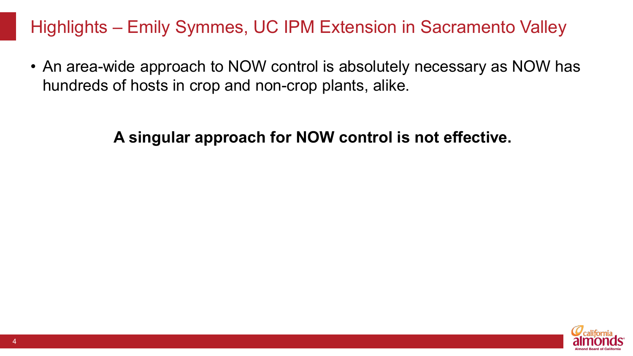## Highlights – Emily Symmes, UC IPM Extension in Sacramento Valley

• An area-wide approach to NOW control is absolutely necessary as NOW has hundreds of hosts in crop and non-crop plants, alike.

#### **A singular approach for NOW control is not effective.**